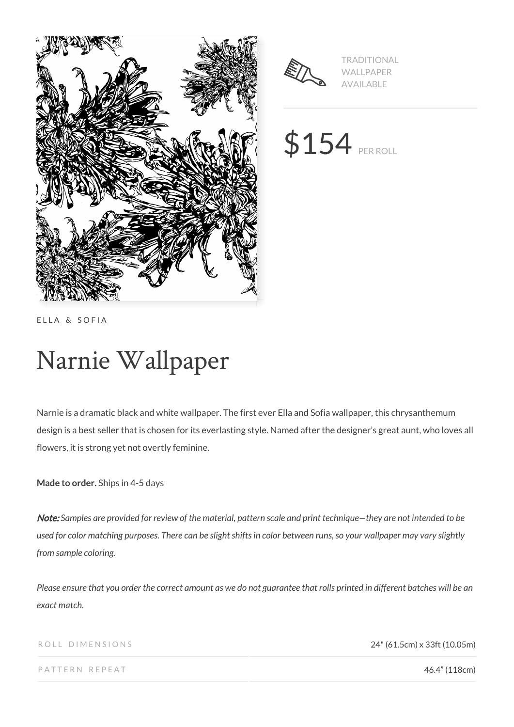



TRADITIONAL WALLPAPER AVAILABLE

\$154 PER ROLL

ELLA & SOFIA

# Narnie Wallpaper

Narnie is a dramatic black and white wallpaper. The first ever Ella and Sofia wallpaper, this chrysanthemum design is a best seller that is chosen for its everlasting style. Named after the designer's great aunt, who loves all flowers, it is strong yet not overtly feminine.

**Made to order.** Ships in 4-5 days

Note: *Samples are provided for review of the material, pattern scale and print technique—they are not intended to be used for color matching purposes. There can be slight shifts in color between runs, so your wallpaper may vary slightly from sample coloring.*

*Please ensure that you order the correct amount as we do not guarantee that rolls printed in different batches will be an exact match.*

ROLL DIMENSIONS 24" (61.5cm) x 33ft (10.05m)

PATTERN REPEAT **46.4" (118cm)**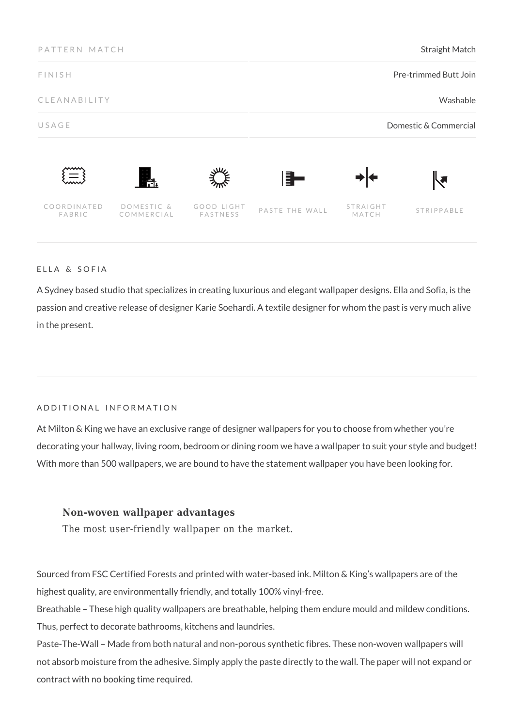| PATTERN MATCH<br><b>FINISH</b> |                          |                        | <b>Straight Match</b><br>Pre-trimmed Butt Join |                   |                       |
|--------------------------------|--------------------------|------------------------|------------------------------------------------|-------------------|-----------------------|
|                                |                          |                        |                                                |                   |                       |
| USAGE                          |                          |                        |                                                |                   | Domestic & Commercial |
| $\equiv$                       | Ħ.                       |                        | E L                                            |                   | <b>La</b>             |
| COORDINATED<br>FABRIC          | DOMESTIC &<br>COMMERCIAL | GOOD LIGHT<br>FASTNESS | PASTE THE WALL                                 | STRAIGHT<br>MATCH | STRIPPABLE            |

#### ELLA & SOFIA

A Sydney based studio that specializes in creating luxurious and elegant wallpaper designs. Ella and Sofia, is the passion and creative release of designer Karie Soehardi. A textile designer for whom the past is very much alive in the present.

## ADDITIONAL INFORMATION

At Milton & King we have an exclusive range of designer wallpapers for you to choose from whether you're decorating your hallway, living room, bedroom or dining room we have a wallpaper to suit your style and budget! With more than 500 wallpapers, we are bound to have the statement wallpaper you have been looking for.

## **Non-woven wallpaper advantages**

The most user-friendly wallpaper on the market.

Sourced from FSC Certified Forests and printed with water-based ink. Milton & King's wallpapers are of the highest quality, are environmentally friendly, and totally 100% vinyl-free.

Breathable – These high quality wallpapers are breathable, helping them endure mould and mildew conditions. Thus, perfect to decorate bathrooms, kitchens and laundries.

Paste-The-Wall – Made from both natural and non-porous synthetic fibres. These non-woven wallpapers will not absorb moisture from the adhesive. Simply apply the paste directly to the wall. The paper will not expand or contract with no booking time required.